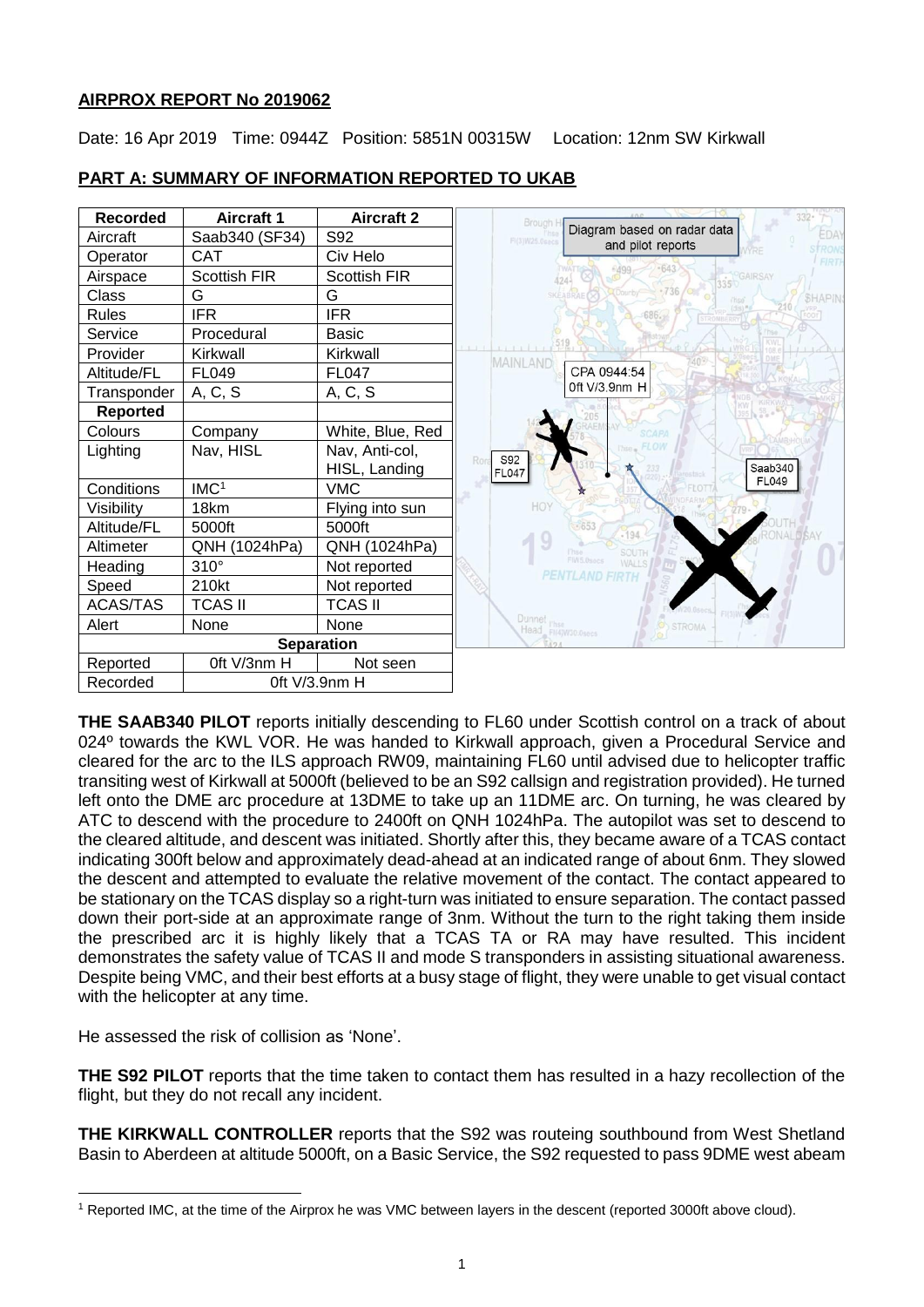### **AIRPROX REPORT No 2019062**

Date: 16 Apr 2019 Time: 0944Z Position: 5851N 00315W Location: 12nm SW Kirkwall

| <b>Recorded</b>   | <b>Aircraft 1</b>   | <b>Aircraft 2</b> | $332 -$<br>Brough I                                                        |
|-------------------|---------------------|-------------------|----------------------------------------------------------------------------|
| Aircraft          | Saab340 (SF34)      | S92               | Diagram based on radar data<br>EDAY<br>FI(3)W25.0secs<br>and pilot reports |
| Operator          | <b>CAT</b>          | Civ Helo          | FIRT                                                                       |
| Airspace          | <b>Scottish FIR</b> | Scottish FIR      | 643<br>GAIRSAY<br>$424 -$                                                  |
| Class             | G                   | G                 | <b>SKEABRAEOZ</b><br><b>SHAPIN</b>                                         |
| <b>Rules</b>      | <b>IFR</b>          | <b>IFR</b>        | $(dis)$ #<br>686.                                                          |
| Service           | Procedural          | <b>Basic</b>      |                                                                            |
| Provider          | Kirkwall            | Kirkwall          | MAINLAND                                                                   |
| Altitude/FL       | FL049               | <b>FL047</b>      | CPA 0944:54                                                                |
| Transponder       | A, C, S             | A, C, S           | 0ft V/3.9nm H                                                              |
| <b>Reported</b>   |                     |                   |                                                                            |
| Colours           | Company             | White, Blue, Red  |                                                                            |
| Lighting          | Nav, HISL           | Nav, Anti-col,    | S92<br>Ror                                                                 |
|                   |                     | HISL, Landing     | Saab340<br><b>FL047</b><br>FL049                                           |
| Conditions        | IMC <sup>1</sup>    | <b>VMC</b>        |                                                                            |
| Visibility        | 18km                | Flying into sun   | <b>HOY</b>                                                                 |
| Altitude/FL       | 5000ft              | 5000ft            | $-653$<br>$-194$                                                           |
| Altimeter         | QNH (1024hPa)       | QNH (1024hPa)     | <b>SOUTH</b><br>l'Itsa                                                     |
| Heading           | $310^\circ$         | Not reported      | FIN5.0secs<br>WALL!<br><b>PENTLAND FIRTH</b>                               |
| Speed             | 210kt               | Not reported      |                                                                            |
| <b>ACAS/TAS</b>   | <b>TCAS II</b>      | <b>TCAS II</b>    |                                                                            |
| Alert             | None                | None              | <b>STROMA</b>                                                              |
| <b>Separation</b> |                     |                   | Dunnet rhse<br>Head Firewase.osecs                                         |
| Reported          | Oft V/3nm H         | Not seen          |                                                                            |
| Recorded          | Oft V/3.9nm H       |                   |                                                                            |

## **PART A: SUMMARY OF INFORMATION REPORTED TO UKAB**

**THE SAAB340 PILOT** reports initially descending to FL60 under Scottish control on a track of about 024º towards the KWL VOR. He was handed to Kirkwall approach, given a Procedural Service and cleared for the arc to the ILS approach RW09, maintaining FL60 until advised due to helicopter traffic transiting west of Kirkwall at 5000ft (believed to be an S92 callsign and registration provided). He turned left onto the DME arc procedure at 13DME to take up an 11DME arc. On turning, he was cleared by ATC to descend with the procedure to 2400ft on QNH 1024hPa. The autopilot was set to descend to the cleared altitude, and descent was initiated. Shortly after this, they became aware of a TCAS contact indicating 300ft below and approximately dead-ahead at an indicated range of about 6nm. They slowed the descent and attempted to evaluate the relative movement of the contact. The contact appeared to be stationary on the TCAS display so a right-turn was initiated to ensure separation. The contact passed down their port-side at an approximate range of 3nm. Without the turn to the right taking them inside the prescribed arc it is highly likely that a TCAS TA or RA may have resulted. This incident demonstrates the safety value of TCAS II and mode S transponders in assisting situational awareness. Despite being VMC, and their best efforts at a busy stage of flight, they were unable to get visual contact with the helicopter at any time.

He assessed the risk of collision as 'None'.

**THE S92 PILOT** reports that the time taken to contact them has resulted in a hazy recollection of the flight, but they do not recall any incident.

**THE KIRKWALL CONTROLLER** reports that the S92 was routeing southbound from West Shetland Basin to Aberdeen at altitude 5000ft, on a Basic Service, the S92 requested to pass 9DME west abeam

l <sup>1</sup> Reported IMC, at the time of the Airprox he was VMC between layers in the descent (reported 3000ft above cloud).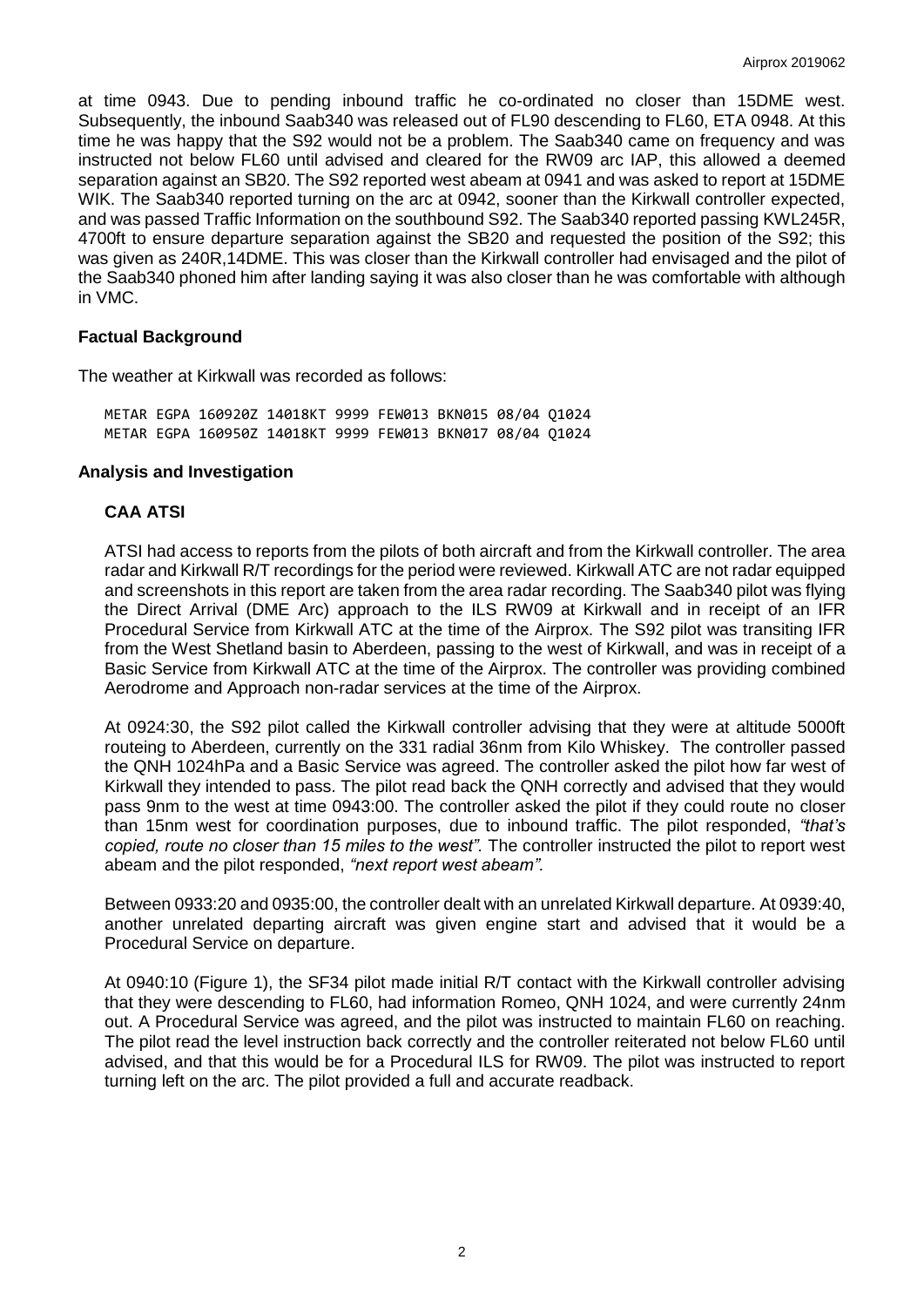at time 0943. Due to pending inbound traffic he co-ordinated no closer than 15DME west. Subsequently, the inbound Saab340 was released out of FL90 descending to FL60, ETA 0948. At this time he was happy that the S92 would not be a problem. The Saab340 came on frequency and was instructed not below FL60 until advised and cleared for the RW09 arc IAP, this allowed a deemed separation against an SB20. The S92 reported west abeam at 0941 and was asked to report at 15DME WIK. The Saab340 reported turning on the arc at 0942, sooner than the Kirkwall controller expected, and was passed Traffic Information on the southbound S92. The Saab340 reported passing KWL245R, 4700ft to ensure departure separation against the SB20 and requested the position of the S92; this was given as 240R,14DME. This was closer than the Kirkwall controller had envisaged and the pilot of the Saab340 phoned him after landing saying it was also closer than he was comfortable with although in VMC.

### **Factual Background**

The weather at Kirkwall was recorded as follows:

METAR EGPA 160920Z 14018KT 9999 FEW013 BKN015 08/04 Q1024 METAR EGPA 160950Z 14018KT 9999 FEW013 BKN017 08/04 Q1024

#### **Analysis and Investigation**

### **CAA ATSI**

ATSI had access to reports from the pilots of both aircraft and from the Kirkwall controller. The area radar and Kirkwall R/T recordings for the period were reviewed. Kirkwall ATC are not radar equipped and screenshots in this report are taken from the area radar recording. The Saab340 pilot was flying the Direct Arrival (DME Arc) approach to the ILS RW09 at Kirkwall and in receipt of an IFR Procedural Service from Kirkwall ATC at the time of the Airprox. The S92 pilot was transiting IFR from the West Shetland basin to Aberdeen, passing to the west of Kirkwall, and was in receipt of a Basic Service from Kirkwall ATC at the time of the Airprox. The controller was providing combined Aerodrome and Approach non-radar services at the time of the Airprox.

At 0924:30, the S92 pilot called the Kirkwall controller advising that they were at altitude 5000ft routeing to Aberdeen, currently on the 331 radial 36nm from Kilo Whiskey. The controller passed the QNH 1024hPa and a Basic Service was agreed. The controller asked the pilot how far west of Kirkwall they intended to pass. The pilot read back the QNH correctly and advised that they would pass 9nm to the west at time 0943:00. The controller asked the pilot if they could route no closer than 15nm west for coordination purposes, due to inbound traffic. The pilot responded, *"that's copied, route no closer than 15 miles to the west".* The controller instructed the pilot to report west abeam and the pilot responded, *"next report west abeam".*

Between 0933:20 and 0935:00, the controller dealt with an unrelated Kirkwall departure. At 0939:40, another unrelated departing aircraft was given engine start and advised that it would be a Procedural Service on departure.

At 0940:10 (Figure 1), the SF34 pilot made initial R/T contact with the Kirkwall controller advising that they were descending to FL60, had information Romeo, QNH 1024, and were currently 24nm out. A Procedural Service was agreed, and the pilot was instructed to maintain FL60 on reaching. The pilot read the level instruction back correctly and the controller reiterated not below FL60 until advised, and that this would be for a Procedural ILS for RW09. The pilot was instructed to report turning left on the arc. The pilot provided a full and accurate readback.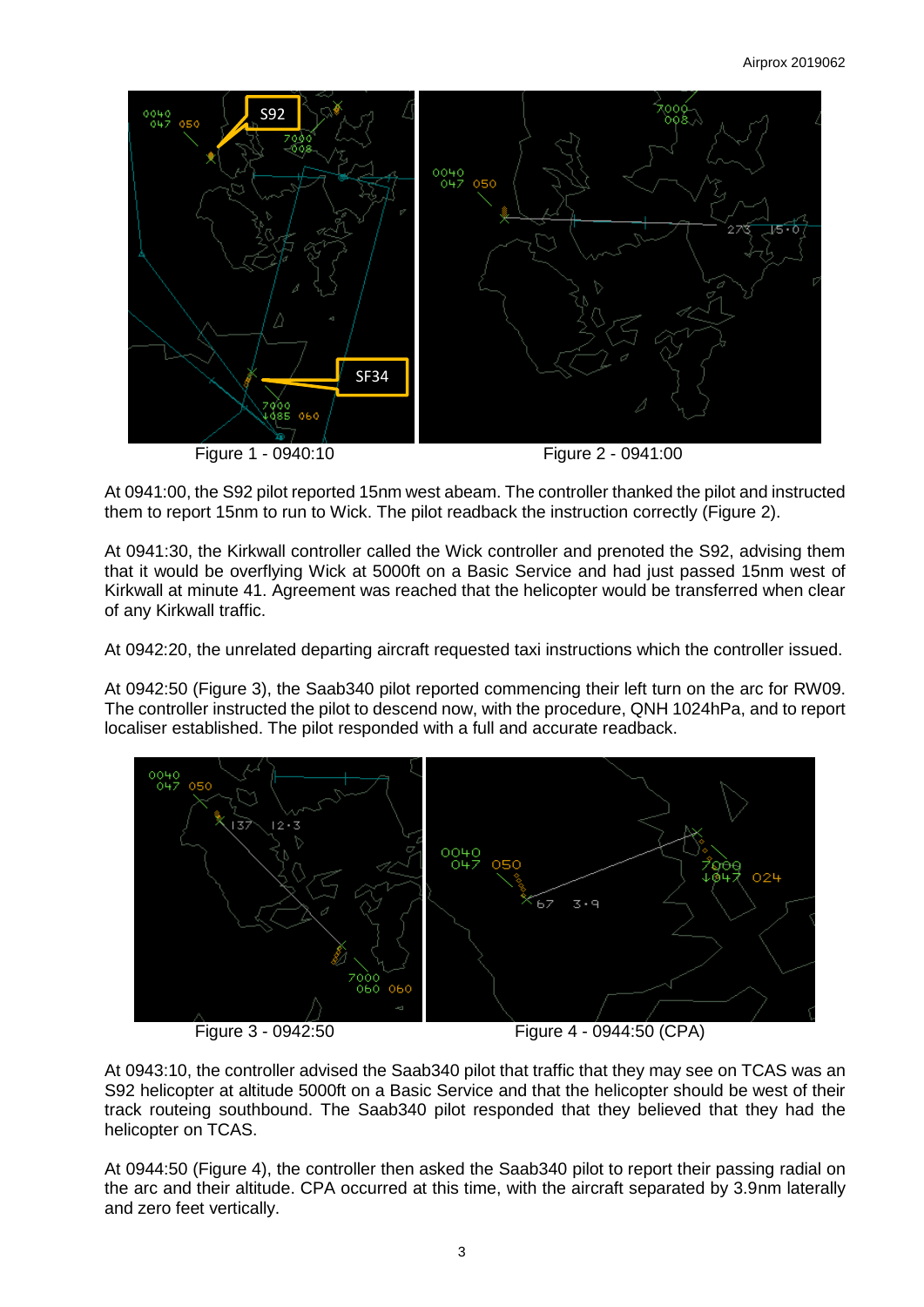

At 0941:00, the S92 pilot reported 15nm west abeam. The controller thanked the pilot and instructed them to report 15nm to run to Wick. The pilot readback the instruction correctly (Figure 2).

At 0941:30, the Kirkwall controller called the Wick controller and prenoted the S92, advising them that it would be overflying Wick at 5000ft on a Basic Service and had just passed 15nm west of Kirkwall at minute 41. Agreement was reached that the helicopter would be transferred when clear of any Kirkwall traffic.

At 0942:20, the unrelated departing aircraft requested taxi instructions which the controller issued.

At 0942:50 (Figure 3), the Saab340 pilot reported commencing their left turn on the arc for RW09. The controller instructed the pilot to descend now, with the procedure, QNH 1024hPa, and to report localiser established. The pilot responded with a full and accurate readback.



At 0943:10, the controller advised the Saab340 pilot that traffic that they may see on TCAS was an S92 helicopter at altitude 5000ft on a Basic Service and that the helicopter should be west of their track routeing southbound. The Saab340 pilot responded that they believed that they had the helicopter on TCAS.

At 0944:50 (Figure 4), the controller then asked the Saab340 pilot to report their passing radial on the arc and their altitude. CPA occurred at this time, with the aircraft separated by 3.9nm laterally and zero feet vertically.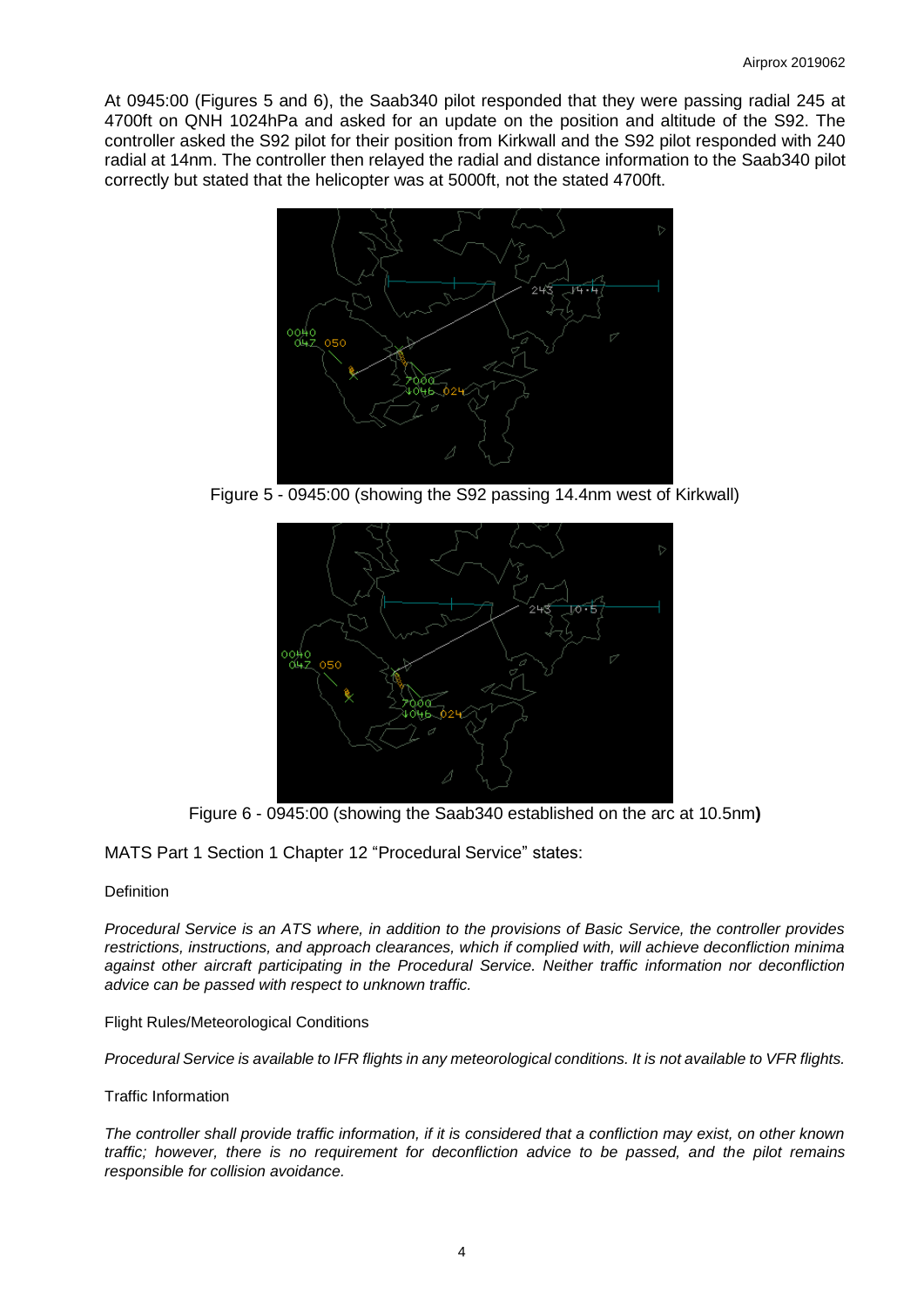At 0945:00 (Figures 5 and 6), the Saab340 pilot responded that they were passing radial 245 at 4700ft on QNH 1024hPa and asked for an update on the position and altitude of the S92. The controller asked the S92 pilot for their position from Kirkwall and the S92 pilot responded with 240 radial at 14nm. The controller then relayed the radial and distance information to the Saab340 pilot correctly but stated that the helicopter was at 5000ft, not the stated 4700ft.



Figure 5 - 0945:00 (showing the S92 passing 14.4nm west of Kirkwall)



Figure 6 - 0945:00 (showing the Saab340 established on the arc at 10.5nm**)**

MATS Part 1 Section 1 Chapter 12 "Procedural Service" states:

#### **Definition**

*Procedural Service is an ATS where, in addition to the provisions of Basic Service, the controller provides restrictions, instructions, and approach clearances, which if complied with, will achieve deconfliction minima against other aircraft participating in the Procedural Service. Neither traffic information nor deconfliction advice can be passed with respect to unknown traffic.* 

#### Flight Rules/Meteorological Conditions

*Procedural Service is available to IFR flights in any meteorological conditions. It is not available to VFR flights.*

#### Traffic Information

*The controller shall provide traffic information, if it is considered that a confliction may exist, on other known traffic; however, there is no requirement for deconfliction advice to be passed, and the pilot remains responsible for collision avoidance.*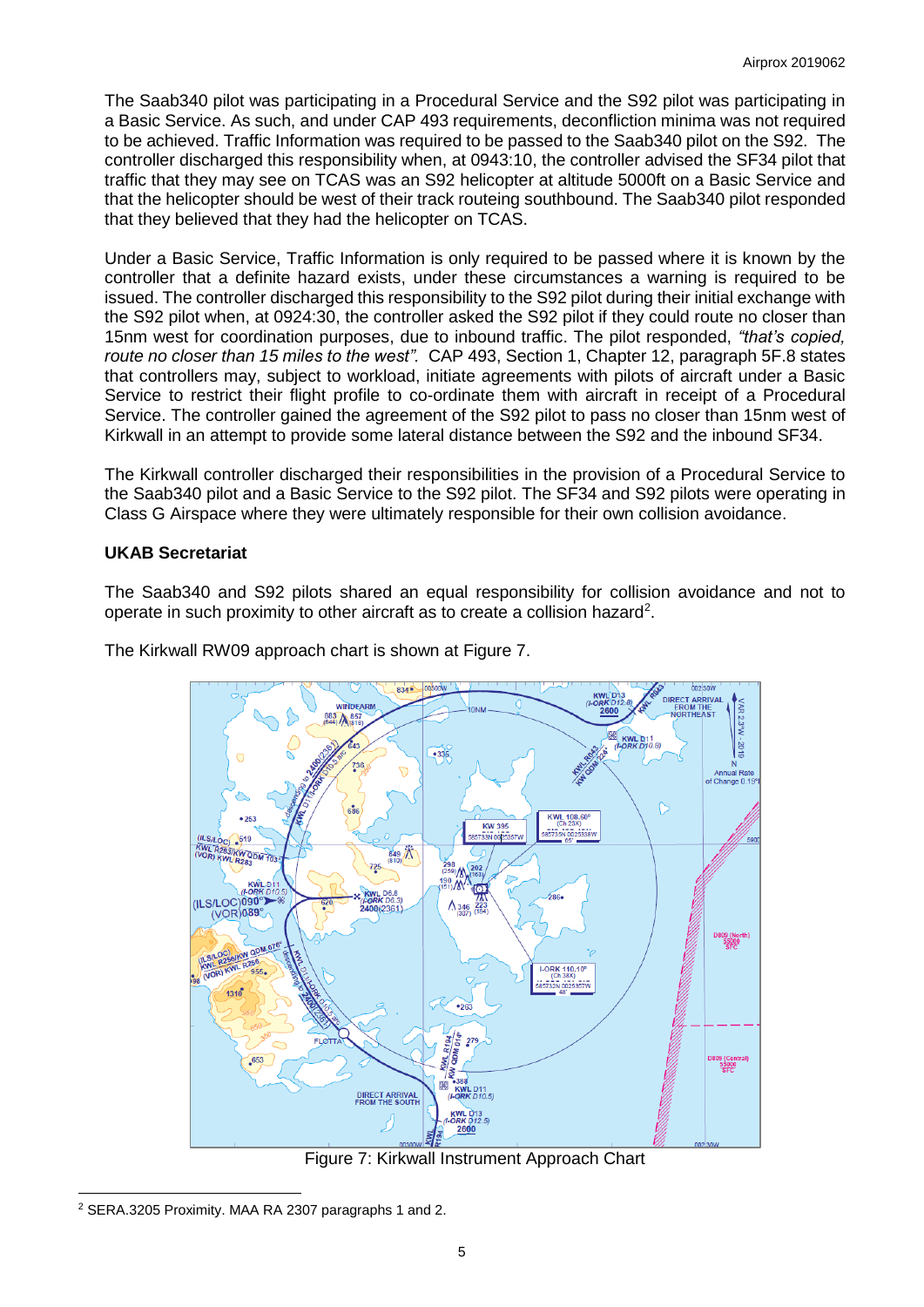The Saab340 pilot was participating in a Procedural Service and the S92 pilot was participating in a Basic Service. As such, and under CAP 493 requirements, deconfliction minima was not required to be achieved. Traffic Information was required to be passed to the Saab340 pilot on the S92. The controller discharged this responsibility when, at 0943:10, the controller advised the SF34 pilot that traffic that they may see on TCAS was an S92 helicopter at altitude 5000ft on a Basic Service and that the helicopter should be west of their track routeing southbound. The Saab340 pilot responded that they believed that they had the helicopter on TCAS.

Under a Basic Service, Traffic Information is only required to be passed where it is known by the controller that a definite hazard exists, under these circumstances a warning is required to be issued. The controller discharged this responsibility to the S92 pilot during their initial exchange with the S92 pilot when, at 0924:30, the controller asked the S92 pilot if they could route no closer than 15nm west for coordination purposes, due to inbound traffic. The pilot responded, *"that's copied, route no closer than 15 miles to the west".* CAP 493, Section 1, Chapter 12, paragraph 5F.8 states that controllers may, subject to workload, initiate agreements with pilots of aircraft under a Basic Service to restrict their flight profile to co-ordinate them with aircraft in receipt of a Procedural Service. The controller gained the agreement of the S92 pilot to pass no closer than 15nm west of Kirkwall in an attempt to provide some lateral distance between the S92 and the inbound SF34.

The Kirkwall controller discharged their responsibilities in the provision of a Procedural Service to the Saab340 pilot and a Basic Service to the S92 pilot. The SF34 and S92 pilots were operating in Class G Airspace where they were ultimately responsible for their own collision avoidance.

### **UKAB Secretariat**

The Saab340 and S92 pilots shared an equal responsibility for collision avoidance and not to operate in such proximity to other aircraft as to create a collision hazard<sup>2</sup>.

The Kirkwall RW09 approach chart is shown at Figure 7.



Figure 7: Kirkwall Instrument Approach Chart

l <sup>2</sup> SERA.3205 Proximity. MAA RA 2307 paragraphs 1 and 2.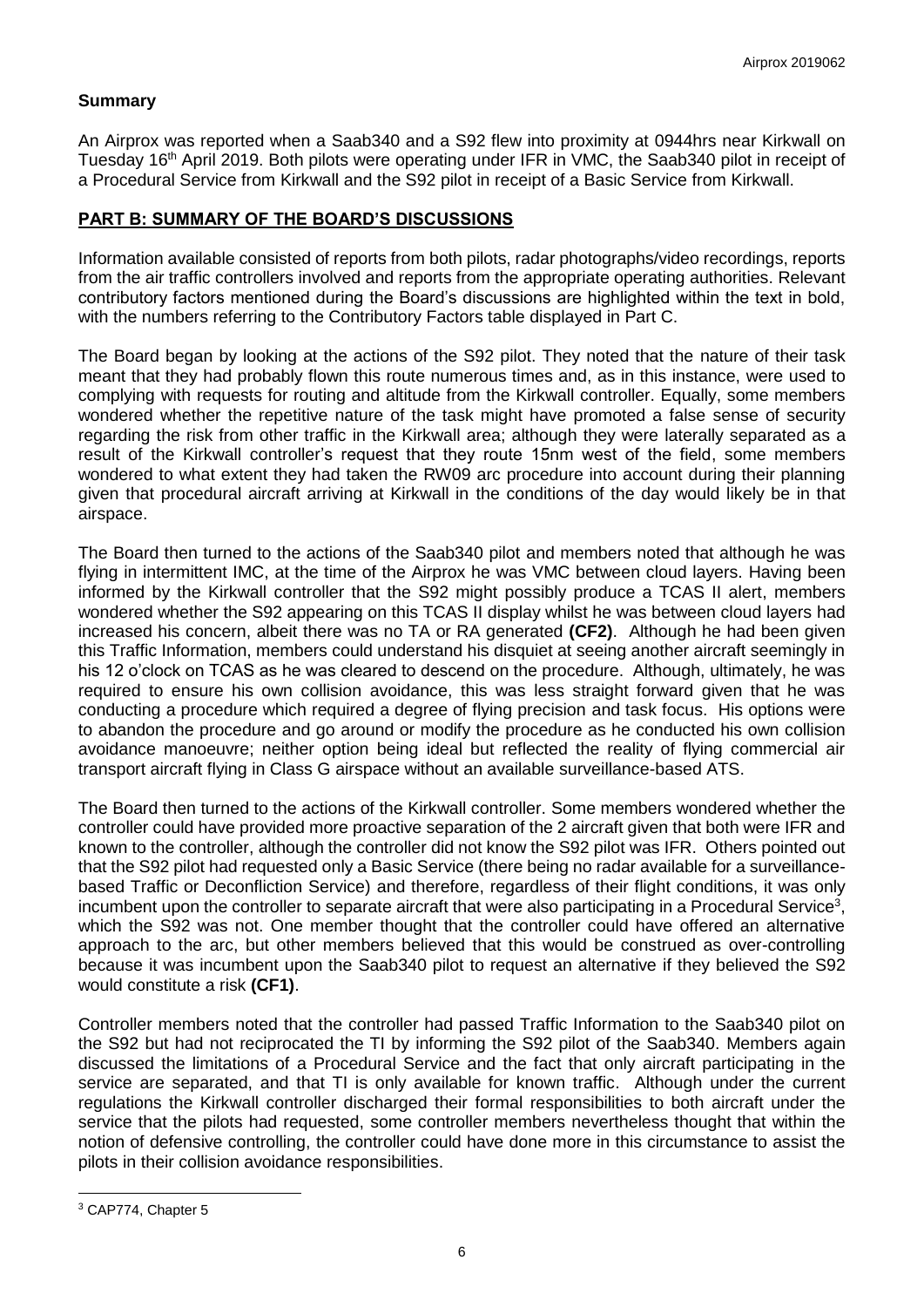# **Summary**

An Airprox was reported when a Saab340 and a S92 flew into proximity at 0944hrs near Kirkwall on Tuesday 16<sup>th</sup> April 2019. Both pilots were operating under IFR in VMC, the Saab340 pilot in receipt of a Procedural Service from Kirkwall and the S92 pilot in receipt of a Basic Service from Kirkwall.

### **PART B: SUMMARY OF THE BOARD'S DISCUSSIONS**

Information available consisted of reports from both pilots, radar photographs/video recordings, reports from the air traffic controllers involved and reports from the appropriate operating authorities. Relevant contributory factors mentioned during the Board's discussions are highlighted within the text in bold, with the numbers referring to the Contributory Factors table displayed in Part C.

The Board began by looking at the actions of the S92 pilot. They noted that the nature of their task meant that they had probably flown this route numerous times and, as in this instance, were used to complying with requests for routing and altitude from the Kirkwall controller. Equally, some members wondered whether the repetitive nature of the task might have promoted a false sense of security regarding the risk from other traffic in the Kirkwall area; although they were laterally separated as a result of the Kirkwall controller's request that they route 15nm west of the field, some members wondered to what extent they had taken the RW09 arc procedure into account during their planning given that procedural aircraft arriving at Kirkwall in the conditions of the day would likely be in that airspace.

The Board then turned to the actions of the Saab340 pilot and members noted that although he was flying in intermittent IMC, at the time of the Airprox he was VMC between cloud layers. Having been informed by the Kirkwall controller that the S92 might possibly produce a TCAS II alert, members wondered whether the S92 appearing on this TCAS II display whilst he was between cloud layers had increased his concern, albeit there was no TA or RA generated **(CF2)**. Although he had been given this Traffic Information, members could understand his disquiet at seeing another aircraft seemingly in his 12 o'clock on TCAS as he was cleared to descend on the procedure. Although, ultimately, he was required to ensure his own collision avoidance, this was less straight forward given that he was conducting a procedure which required a degree of flying precision and task focus. His options were to abandon the procedure and go around or modify the procedure as he conducted his own collision avoidance manoeuvre; neither option being ideal but reflected the reality of flying commercial air transport aircraft flying in Class G airspace without an available surveillance-based ATS.

The Board then turned to the actions of the Kirkwall controller. Some members wondered whether the controller could have provided more proactive separation of the 2 aircraft given that both were IFR and known to the controller, although the controller did not know the S92 pilot was IFR. Others pointed out that the S92 pilot had requested only a Basic Service (there being no radar available for a surveillancebased Traffic or Deconfliction Service) and therefore, regardless of their flight conditions, it was only incumbent upon the controller to separate aircraft that were also participating in a Procedural Service<sup>3</sup>, which the S92 was not. One member thought that the controller could have offered an alternative approach to the arc, but other members believed that this would be construed as over-controlling because it was incumbent upon the Saab340 pilot to request an alternative if they believed the S92 would constitute a risk **(CF1)**.

Controller members noted that the controller had passed Traffic Information to the Saab340 pilot on the S92 but had not reciprocated the TI by informing the S92 pilot of the Saab340. Members again discussed the limitations of a Procedural Service and the fact that only aircraft participating in the service are separated, and that TI is only available for known traffic. Although under the current regulations the Kirkwall controller discharged their formal responsibilities to both aircraft under the service that the pilots had requested, some controller members nevertheless thought that within the notion of defensive controlling, the controller could have done more in this circumstance to assist the pilots in their collision avoidance responsibilities.

l

<sup>3</sup> CAP774, Chapter 5